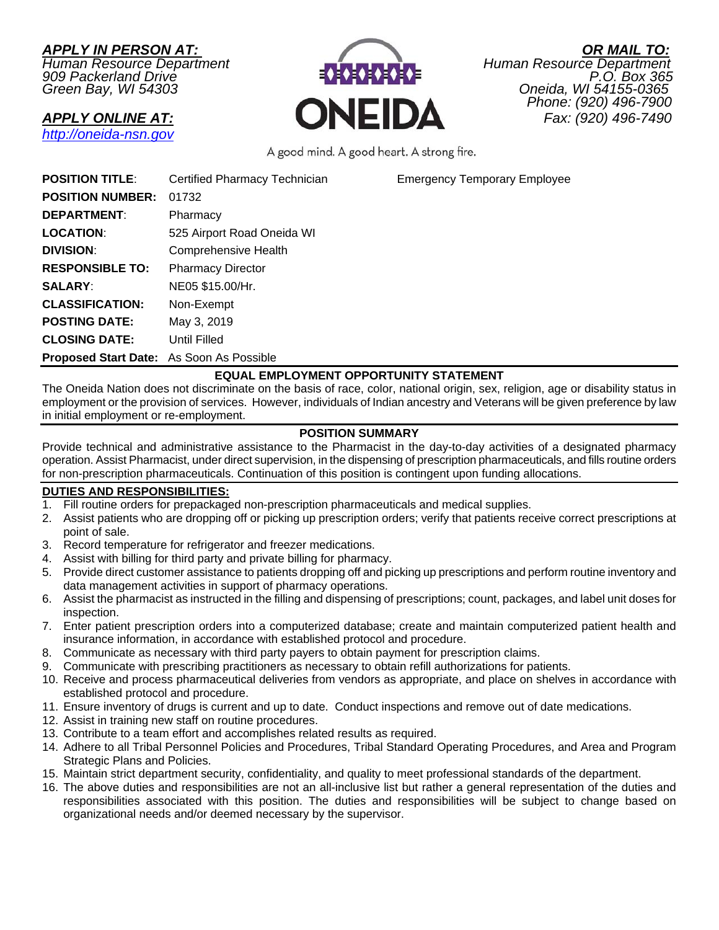*http://oneida-nsn.gov* 

*Human Resource Department Human Resource Department 909 Packerland Drive P.O. Box 365* 



*APPLY IN PERSON AT: OR MAIL TO: Green Bay, WI 54303 Oneida, WI 54155-0365 Phone: (920) 496-7900*  **APPLY ONLINE AT:**<br>**APPLY ONLINE AT:**<br>**CNEIDA** Phone: (920) 496-7490

A good mind. A good heart. A strong fire.

**POSITION TITLE:** Certified Pharmacy Technician Emergency Temporary Employee

|                         | <b>Portifica</b> Figuriacy Toorings |
|-------------------------|-------------------------------------|
| <b>POSITION NUMBER:</b> | 01732                               |
| <b>DEPARTMENT:</b>      | Pharmacy                            |
| <b>LOCATION:</b>        | 525 Airport Road Oneida WI          |
| <b>DIVISION:</b>        | <b>Comprehensive Health</b>         |
| <b>RESPONSIBLE TO:</b>  | <b>Pharmacy Director</b>            |
| <b>SALARY:</b>          | NE05 \$15.00/Hr.                    |
| <b>CLASSIFICATION:</b>  | Non-Exempt                          |
| <b>POSTING DATE:</b>    | May 3, 2019                         |
| <b>CLOSING DATE:</b>    | Until Filled                        |
|                         |                                     |

**Proposed Start Date:** As Soon As Possible

# **EQUAL EMPLOYMENT OPPORTUNITY STATEMENT**

The Oneida Nation does not discriminate on the basis of race, color, national origin, sex, religion, age or disability status in employment or the provision of services. However, individuals of Indian ancestry and Veterans will be given preference by law in initial employment or re-employment.

# **POSITION SUMMARY**

Provide technical and administrative assistance to the Pharmacist in the day-to-day activities of a designated pharmacy operation. Assist Pharmacist, under direct supervision, in the dispensing of prescription pharmaceuticals, and fills routine orders for non-prescription pharmaceuticals. Continuation of this position is contingent upon funding allocations.

# **DUTIES AND RESPONSIBILITIES:**

- 1. Fill routine orders for prepackaged non-prescription pharmaceuticals and medical supplies.
- 2. Assist patients who are dropping off or picking up prescription orders; verify that patients receive correct prescriptions at point of sale.
- 3. Record temperature for refrigerator and freezer medications.
- 4. Assist with billing for third party and private billing for pharmacy.
- 5. Provide direct customer assistance to patients dropping off and picking up prescriptions and perform routine inventory and data management activities in support of pharmacy operations.
- 6. Assist the pharmacist as instructed in the filling and dispensing of prescriptions; count, packages, and label unit doses for inspection.
- 7. Enter patient prescription orders into a computerized database; create and maintain computerized patient health and insurance information, in accordance with established protocol and procedure.
- 8. Communicate as necessary with third party payers to obtain payment for prescription claims.
- 9. Communicate with prescribing practitioners as necessary to obtain refill authorizations for patients.
- 10. Receive and process pharmaceutical deliveries from vendors as appropriate, and place on shelves in accordance with established protocol and procedure.
- 11. Ensure inventory of drugs is current and up to date. Conduct inspections and remove out of date medications.
- 12. Assist in training new staff on routine procedures.
- 13. Contribute to a team effort and accomplishes related results as required.
- 14. Adhere to all Tribal Personnel Policies and Procedures, Tribal Standard Operating Procedures, and Area and Program Strategic Plans and Policies.
- 15. Maintain strict department security, confidentiality, and quality to meet professional standards of the department.
- 16. The above duties and responsibilities are not an all-inclusive list but rather a general representation of the duties and responsibilities associated with this position. The duties and responsibilities will be subject to change based on organizational needs and/or deemed necessary by the supervisor.